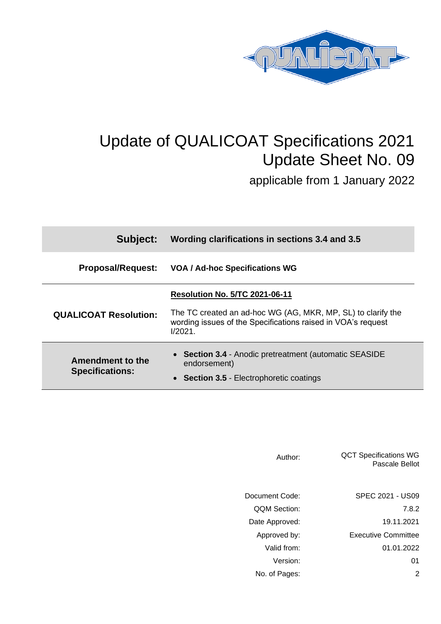

# Update of QUALICOAT Specifications 2021 Update Sheet No. 09

applicable from 1 January 2022

| Subject:                                   | Wording clarifications in sections 3.4 and 3.5                                                                                             |  |
|--------------------------------------------|--------------------------------------------------------------------------------------------------------------------------------------------|--|
| <b>Proposal/Request:</b>                   | <b>VOA / Ad-hoc Specifications WG</b>                                                                                                      |  |
| <b>QUALICOAT Resolution:</b>               | <b>Resolution No. 5/TC 2021-06-11</b>                                                                                                      |  |
|                                            | The TC created an ad-hoc WG (AG, MKR, MP, SL) to clarify the<br>wording issues of the Specifications raised in VOA's request<br>$1/2021$ . |  |
| Amendment to the<br><b>Specifications:</b> | • Section 3.4 - Anodic pretreatment (automatic SEASIDE<br>endorsement)                                                                     |  |
|                                            | <b>Section 3.5 - Electrophoretic coatings</b>                                                                                              |  |

| Author:             | <b>QCT Specifications WG</b><br>Pascale Bellot |
|---------------------|------------------------------------------------|
| Document Code:      | SPEC 2021 - US09                               |
| <b>QQM Section:</b> | 7.8.2                                          |
| Date Approved:      | 19.11.2021                                     |
| Approved by:        | <b>Executive Committee</b>                     |
| Valid from:         | 01.01.2022                                     |
| Version:            | 01                                             |
| No. of Pages:       | 2                                              |